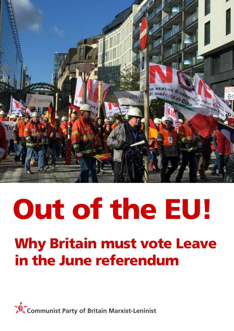

# **Out of the EU! Why Britain must vote Leave in the June referendum**

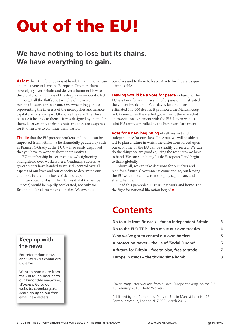## **Out of the EU!**

### **We have nothing to lose but its chains. We have everything to gain.**

**At last** the EU referendum is at hand. On 23 June we can and must vote to leave the European Union, reclaim sovereignty over Britain and deliver a hammer blow to the dictatorial ambitions of the deeply undemocratic EU.

Forget all the fluff about which politicians or personalities are for in or out. Overwhelmingly those representing the interests of the monopolies and finance capital are for staying in. Of course they are. They love it because it belongs to them – it was designed by them, for them, it serves only their interests and they are desperate for it to survive to continue that mission.

**The lie** that the EU protects workers and that it can be improved from within – a lie shamefully peddled by such as Frances O'Grady at the TUC – is so easily disproved that you have to wonder about their motives.

EU membership has exerted a slowly tightening stranglehold over workers here. Gradually, successive governments have handed to Brussels control over all aspects of our lives and our capacity to determine our country's future – the basis of democracy.

If we voted to stay in the EU this diktat (remember Greece?) would be rapidly accelerated, not only for Britain but for all member countries. We owe it to

ourselves and to them to leave. A vote for the status quo is impossible.

**Leaving would be a vote for peace** in Europe. The EU is a force for war. In search of expansion it instigated the violent break-up of Yugoslavia, leading to an estimated 140,000 deaths. It promoted the Maidan coup in Ukraine when the elected government there rejected an association agreement with the EU. It even wants a joint EU army, controlled by the European Parliament!

**Vote for a new beginning** of self-respect and independence for our class. Once out, we will be able at last to plan a future in which the distortions forced upon our economy by the EU can be steadily corrected. We can do the things we are good at, using the resources we have to hand. We can stop being "little Europeans" and begin to think globally.

Above all, we can take decisions for ourselves and plan for a future. Governments come and go, but leaving the EU would be a blow to monopoly capitalism, and strengthen us.

Read this pamphlet. Discuss it at work and home. Let the fight for national liberation begin! **•**

### **Contents**

| No to rule from Brussels - for an independent Britain<br>No to the EU's TTIP - let's make our own treaties<br>Why we've got to control our own borders<br>A protection racket – the lie of 'Social Europe'<br>A future for Britain – free to plan, free to trade | 3 |
|------------------------------------------------------------------------------------------------------------------------------------------------------------------------------------------------------------------------------------------------------------------|---|
|                                                                                                                                                                                                                                                                  | 4 |
|                                                                                                                                                                                                                                                                  | 5 |
|                                                                                                                                                                                                                                                                  | 6 |
|                                                                                                                                                                                                                                                                  | 7 |
| Europe in chaos - the ticking time bomb                                                                                                                                                                                                                          | 8 |

Cover image: steelworkers from all over Europe converge on the EU, 15 February 2016. Photo Workers.

Published by the Communist Party of Britain Marxist-Leninist, 78 Seymour Avenue, London N17 9EB. March 2016.

#### **Keep up with the news**

For referendum news and views visit cpbml.org. uk/leave

Want to read more from the CBPML? Subscribe to our bimonthly magazine, *[Workers](http://www.cpbml.org.uk/workers)*. Go to our website, cpbml.org.uk. And sign up to our free email newsletters.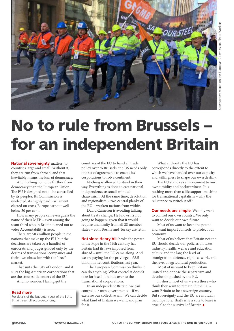

### **No to rule from Brussels – for an independent Britain**

**National sovereignty** matters, to countries large and small. Without it, they are run from abroad, and that inevitably means the loss of democracy.

And nothing could be further from democracy than the European Union. The EU is designed not to be controlled by its peoples. Its Commission is unelected, its highly paid Parliament elected on cross-Europe turnout well below 50 per cent.

How many people can even guess the name of their MEP – even among the scant third who in Britain turned out to vote? Accountability is zero.

There are 503 million people in the nations that make up the EU, but the decisions are taken by a handful of eurocrats and judges guided only by the desires of transnational companies and their own obsession with the "free" market.

That suits the City of London, and it suits the big American corporations that are the stoutest defenders of the EU.

And no wonder. Having got the

#### **Read more**

For details of the budgetary cost of the EU to Britain, see fullfact.org/economy.

countries of the EU to hand all trade policy over to Brussels, the US needs only one set of agreements to enable its corporations to rob a continent.

Nothing is allowed to stand in their way. Everything is done to cast national independence as small-minded chauvinism. At the same time, devolution and regionalism – two central planks of the EU – weaken nations from within.

David Cameron is avoiding talking about treaty change. He knows it's not going to happen, given that it would require unanimity from all 28 member states – 30 if Bosnia and Turkey are let in.

**Not since Henry VIII** broke the power of the Pope in the 16th century has Britain had its laws imposed from abroad – until the EU came along. And we are paying for the privilege  $-$  £8.5 billion in net contributions last year.

The European Commission thinks it can do anything. What control it doesn't take for itself it hands over to the transnational corporations.

In an independent Britain, we can control our own governments – if we exercise our collective will. We can decide what kind of Britain we want, and plan for it.

What authority the EU has corresponds directly to the extent to which we have handed over our capacity and willingness to shape our own destiny.

The EU stands as a monument to our own timidity and backwardness. It is nothing more than a life support machine for transnational capitalism – why the reluctance to switch it off?

**Our needs are simple**. We only want to control our own country. We only want to decide our own future.

Most of us want to keep the pound and want import controls to protect our economy.

Most of us believe that Britain not the EU should decide our policies on taxes, industry, health, welfare and education, culture and the law, the level of immigration, defence, rights at work, and the level of agricultural production.

Most of us want to keep Britain united and oppose the separatism and devolution pushed by the EU.

In short, most of us – even those who think they want to remain in the EU – want Britain to be a sovereign country. But sovereignty and the EU are mutually incompatible. That's why a vote to leave is crucial to the survival of Britain.**•**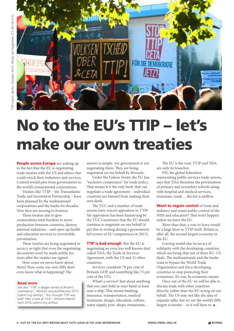

### **No to the EU's TTIP – let's make our own [treaties](https://www.tuc.org.uk/international-issues/europe/trade/tuc-evidence-bis-trade-and-investment-balance-competences-review)**

**People across Europe** are waking up to the fact that the EU is negotiating trade treaties with the US and others that could wreck their industries and services. Control would pass from governments to the world's transnational corporations.

Treaties like TTIP – the Transatlantic Trade and Investment Partnership – have been planned by the multinational corporations and the banks for decades. Now they are moving to fruition.

These treaties aim to give corporations total freedom to move production between countries, destroy national industries – and open up health and education services to irreversible privatisation.

These treaties are being negotiated in secrecy so tight that even the negotiating documents won't be made public for years after the treaties are signed.

How come we never knew about them? How come our own MPs don't even know what is happening? The

#### **Read more**

See also "TTIP: a dagger aimed at Britain's sovereignty", *Workers* January/February 2015 [\(cpbml.org.uk/ttip\)](www.cpbml.org.uk/ttip); "You thought TTIP was bad? Take a look at TiSA", *Workers* March/ April 2016 [\(cpbml.org.uk/tisa\)](www.cpbml.org.uk/tisa).

answer is simple: our government is not negotiating them. They are being negotiated on our behalf by Brussels.

Under the Lisbon Treaty, the EU has "exclusive competence" for trade policy. That means it is the only body that can negotiate a trade agreement – individual countries are banned from making their own deals.

The TUC and a number of trade unions have voiced opposition to TTIP. Yet opposition has been hamstrung by the TUC's insistence that the EU should continue to negotiate on our behalf (it put this in writing during a governmentled review of EU competences in 2013).

**TTIP is bad enough**. But the EU is negotiating an even less well known deal called TiSA, the Trade in Services Agreement, with the US and 21 other countries.

Services constitute 78 per cent of Britain's GDP, and something like 75 per cent of the US's.

What's a service? Just about anything that you can't hold in your hand or load onto a ship. That means banking, insurance, transportation, medical treatment, design, education, culture, water supply, post, shops, restaurants…

The EU is the root: TTIP and TiSA are only its branches.

PSI, the global federation representing public services trade unions, says that TiSA threatens the privatisation of primary and secondary schools along with hospital and medical services, museums, roads …the list is endless.

**Want to regain control** of trade and industry and retain public control of the NHS and education? That won't happen unless we leave the EU.

More than that, a vote to leave would be a huge blow to TTIP itself. Britain is, after all, the second largest economy in the EU.

Leaving would also be an act of solidarity with the developing countries, which are being shut out of these EU–US deals. The multinationals and the banks want to bypass the World Trade Organization and force developing countries to stop protecting their economies. It's war, by economic means.

Once out of the EU we will be able to discuss trade with other countries directly, rather than the EU acting on our behalf. The US may not like the idea of separate talks, but we are the world's fifth largest economy – so it will have to. **•**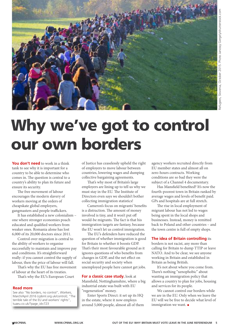

### **Why we've got to control our own borders**

**You don't need** to work in a think tank to see why it is important for a country to be able to determine who comes in. The question is central to a country's ability to plan its future and ensure its security.

The free movement of labour encourages the modern slavery of workers moving at the orders of cheapskate global employers, gangmasters and people traffickers.

It has established a new colonialism – one where stronger economies poach educated and qualified workers from weaker ones. Romania alone has lost 6,000 of its 20,000 doctors since 2011.

Control over migration is central to the ability of workers to organise successfully to maintain and improve pay and conditions. It's straightforward really: if you cannot control the supply of labour, then the price of labour will fall.

That's why the EU has free movement of labour at the heart of its treaties.

That's why the EU's European Court

#### **Read more**

See also "No borders, no control", *Workers*, March/April 2016 (cpbml.org.uk/control); "The terrible tale of the EU and workers' rights", [tuaeu.co.uk/?page\\_id=723](tuaeu.co.uk/?page_id=723)

of Justice has ceaselessly upheld the right of employers to move labour between countries, lowering wages and dumping collective bargaining agreements.

That's why most of Britain's large employers are lining up to tell us why we must stay in the EU. The Institute of Directors even says we shouldn't bother collecting immigration statistics!

Cameron's focus on migrants' benefits is a distraction. The amount of money involved is tiny, and it won't put off would-be migrants. The fact is that his immigration targets are fantasy, because the EU won't let us control immigration.

The EU's defenders have reduced the question of whether immigration is good for Britain to whether it boosts GDP. That's their most favourable ground as it ignores questions of who benefits from changes in GDP, and the net effect on social security and society when unemployed people here cannot get jobs.

#### **For a classic case study**, look at Mansfield, Nottinghamshire, where a big industrial estate was built with EU "regeneration" money.

Enter Sports Direct: it set up its HQ in the estate, where it now employs around 5,000 people, almost all of them

agency workers recruited directly from EU member states and almost all on zero-hours contracts. Working conditions are so bad they were the subject of a Channel 4 documentary.

Has Mansfield benefited? It's now the fourth-poorest town in Britain ranked by average wages and levels of benefit paid. GPs and hospitals are at full stretch.

The rise in local employment of migrant labour has not led to wages being spent in the local shops and businesses. Instead, money is remitted back to Poland and other countries – and the town centre is full of empty shops.

#### **The idea of Britain controlling** its

borders is not racist, any more than calling for Britain to dump TTIP or leave NATO. And to be clear, we see anyone working in Britain and established in Britain as being British.

It's not about where you come from. There's nothing "xenophobic" about wanting an immigration policy that allows a country to plan for jobs, housing and services for its people.

We cannot control our borders while we are in the EU. Only when we leave the EU will we be free to decide what level of immigration we want. **•**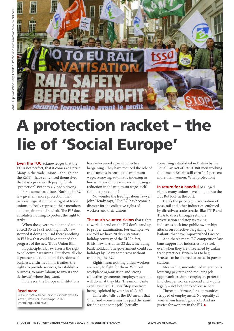

### **A protection racket – the lie of 'Social Europe'**

**Even the TUC** acknowledges that the EU is not perfect, that it comes at a price. Many in the trade unions – though not the RMT – have convinced themselves that it is a price worth paying for its "protection". But they are badly wrong.

First, some basic facts. Nothing in EU law gives any more protection than national legislation to the right of trade unions to freely represent their members and bargain on their behalf. The EU does absolutely nothing to protect the right to strike.

When the government banned unions at GCHQ in 1992, nothing in EU law stopped it doing so. And there's nothing in EU law that could have stopped the progress of the new Trade Union Bill.

In principle, EU law asserts the right to collective bargaining. But above all else it protects the fundamental freedoms of business, enshrined in its treaties: the rights to provide services, to establish a business, to move labour, to invest (and de-invest) where they want.

In Greece, the European institutions

#### **Read more**

See also "Why trade unionists should vote to leave", *Workers*, March/April 2016 (cpbml.org.uk/tuleave).

have intervened against collective bargaining. They have reduced the role of trade unions in setting the minimum wage, removing automatic indexing in line with price increases, and imposing a reduction in the minimum wage itself. Call that protection?

No wonder the [leading](tuaeu.co.uk/?page_id=723) labour lawyer John [Hendy](tuaeu.co.uk/?page_id=723) says, "The EU has become a disaster for the collective rights of workers and their unions."

**The much-vaunted claims** that rights at work depend on the EU don't stand up to proper examination. For example, we are told we have 20 days' statutory holiday courtesy of the EU. In fact, British law lays down 28 days, including bank holidays. The government could cut holidays by 8 days tomorrow without troubling the EU.

Rights mean nothing unless workers are ready to fight for them. Without workplace organisation and strong collective agreements, employers can and will do what they like. The union Unite even says that EU laws "stop you from being exploited by your boss". As if!

Unite also tells us the EU means that "men and women must be paid the same for doing the same job" (actually

something established in Britain by the Equal Pay Act of 1970). But men working full time in Britain still earn 14.2 per cent more than women. What protection?

**In return for a handful** of alleged rights, many unions have bought into the EU. But look at the cost.

Here's the price tag. Privatisation of post, rail and other industries, enforced by directives; trade treaties like TTIP and TiSA to drive through yet more privatisation and stop us taking industries back into public ownership; attacks on collective bargaining; the bailouts that have impoverished Greece.

And there's more. EU competition law bans support for industries like steel, even when they are threatened by unfair trade practices. Britain has to beg Brussels to be allowed to invest in power stations.

Meanwhile, uncontrolled migration is lowering pay rates and reducing job opportunities. Some employers prefer to find cheaper workers abroad and – quite legally – not bother to advertise here.

There's no fairness for communities stripped of employment. No equality at work if you haven't got a job. And no justice for workers in the EU. **•**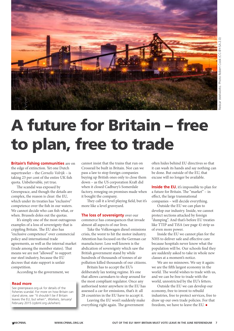

## **A future for Britain – free to plan, free to trade**

**Britain's fishing communities** are on the edge of extinction. Yet one Dutch supertrawler – the *Cornelis Volrijk* – is taking 23 per cent of the entire UK fish quota. Unbelievable, yet true.

The scandal was exposed by Greenpeace, and though the details are complex, the reason is clear: the EU, which under its treaties has "exclusive" competence over the fish in our waters. We cannot decide who can fish what, or when. Brussels doles out the quotas.

It's simply one of the most outrageous examples of a loss of sovereignty that is crippling Britain. The EU also has "exclusive competence" over commercial policy and international trade agreements, as well as the internal market (trade among the member states). That means we are not "allowed" to support our steel industry, because the EU decrees that state support is unfair competition.

According to the government, we

#### **Read more**

See greenpeace.org.uk for details of the fisheries scandal. For more on how Britain can stand alone, see "It shouldn't be if Britain leaves the EU, but when", *Workers*, January/ February 2015 (cpbml.org.uk/when).

cannot insist that the trains that run on Crossrail be built in Britain. Nor can we pass a law to stop foreign companies buying up British ones only to close them down - as the US corporation Kraft did when it closed Cadbury's Somerdale factory, reneging on promises made when it bought the company.

They call it a level playing field, but it's more like a level graveyard.

**The loss of sovereignty** over our commerce has consequences that invade almost all aspects of our lives.

Take the Volkswagen diesel emissions crisis, the worst to hit the motor industry. Attention has focused on the German car manufacturer. Less well known is the abdication of sovereignty which saw the British government stand by while hundreds of thousands of tonnes of air pollution killed thousands of our citizens.

Britain has to accept the EU's deliberately lax testing regime. It's one that allows carmakers to shop around for the most compliant regulator. Once any authorised tester anywhere in the EU has assessed a car for emissions, that's it: all 28 countries in the EU have to accept it.

Leaving the EU won't suddenly make everything right again. The government

often hides behind EU directives so that it can wash its hands and say nothing can be done. But outside of the EU, that excuse will no longer be available.

**Inside the EU**, it's impossible to plan for a future for Britain. The "market" – in effect, the large transnational companies – will decide everything.

Outside the EU we can plan to develop our industry. Inside, we cannot protect sections attacked by foreign "dumping". And that's before EU treaties like TTIP and TiSA (see page 4) strip us of even more power.

Inside the EU we cannot plan for the NHS to deliver safe and effective care because hospitals never know what the population will be. Our schools find they are suddenly asked to take in whole new classes at a moment's notice.

We are no minnows. We say it again: we are the fifth largest economy in the world. The world wishes to trade with us, and we can be free to trade with the world, unrestricted by the EU's fetters.

Outside the EU we can develop our economy, free to invest to rebuild industries, free to protect services, free to draw up our own trade policies. For that freedom, we have to leave the EU. **•**